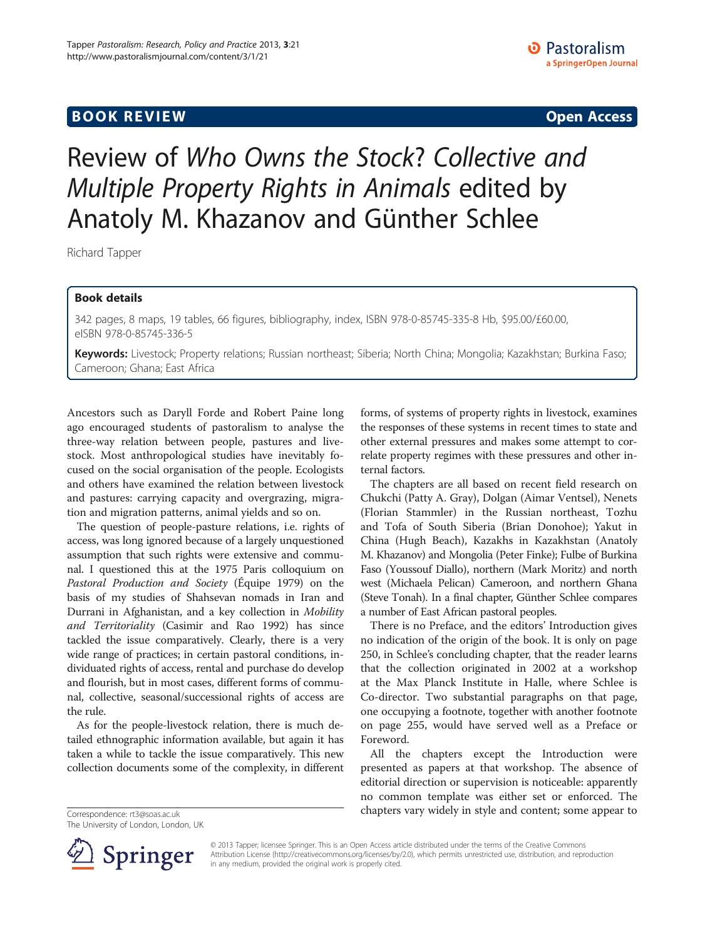## **BOOK REVIEW CONTROL** BOOK REVIEW

# Review of Who Owns the Stock? Collective and Multiple Property Rights in Animals edited by Anatoly M. Khazanov and Günther Schlee

Richard Tapper

### Book details

342 pages, 8 maps, 19 tables, 66 figures, bibliography, index, ISBN 978-0-85745-335-8 Hb, \$95.00/£60.00, eISBN 978-0-85745-336-5

Keywords: Livestock; Property relations; Russian northeast; Siberia; North China; Mongolia; Kazakhstan; Burkina Faso; Cameroon; Ghana; East Africa

Ancestors such as Daryll Forde and Robert Paine long ago encouraged students of pastoralism to analyse the three-way relation between people, pastures and livestock. Most anthropological studies have inevitably focused on the social organisation of the people. Ecologists and others have examined the relation between livestock and pastures: carrying capacity and overgrazing, migration and migration patterns, animal yields and so on.

The question of people-pasture relations, i.e. rights of access, was long ignored because of a largely unquestioned assumption that such rights were extensive and communal. I questioned this at the 1975 Paris colloquium on Pastoral Production and Society (Équipe [1979](#page-2-0)) on the basis of my studies of Shahsevan nomads in Iran and Durrani in Afghanistan, and a key collection in Mobility and Territoriality (Casimir and Rao [1992\)](#page-2-0) has since tackled the issue comparatively. Clearly, there is a very wide range of practices; in certain pastoral conditions, individuated rights of access, rental and purchase do develop and flourish, but in most cases, different forms of communal, collective, seasonal/successional rights of access are the rule.

As for the people-livestock relation, there is much detailed ethnographic information available, but again it has taken a while to tackle the issue comparatively. This new collection documents some of the complexity, in different

Correspondence: [rt3@soas.ac.uk](mailto:rt3@soas.ac.uk) The University of London, London, UK forms, of systems of property rights in livestock, examines the responses of these systems in recent times to state and other external pressures and makes some attempt to correlate property regimes with these pressures and other internal factors.

The chapters are all based on recent field research on Chukchi (Patty A. Gray), Dolgan (Aimar Ventsel), Nenets (Florian Stammler) in the Russian northeast, Tozhu and Tofa of South Siberia (Brian Donohoe); Yakut in China (Hugh Beach), Kazakhs in Kazakhstan (Anatoly M. Khazanov) and Mongolia (Peter Finke); Fulbe of Burkina Faso (Youssouf Diallo), northern (Mark Moritz) and north west (Michaela Pelican) Cameroon, and northern Ghana (Steve Tonah). In a final chapter, Günther Schlee compares a number of East African pastoral peoples.

There is no Preface, and the editors' Introduction gives no indication of the origin of the book. It is only on page 250, in Schlee's concluding chapter, that the reader learns that the collection originated in 2002 at a workshop at the Max Planck Institute in Halle, where Schlee is Co-director. Two substantial paragraphs on that page, one occupying a footnote, together with another footnote on page 255, would have served well as a Preface or Foreword.

All the chapters except the Introduction were presented as papers at that workshop. The absence of editorial direction or supervision is noticeable: apparently no common template was either set or enforced. The chapters vary widely in style and content; some appear to



© 2013 Tapper; licensee Springer. This is an Open Access article distributed under the terms of the Creative Commons Attribution License [\(http://creativecommons.org/licenses/by/2.0\)](http://creativecommons.org/licenses/by/2.0), which permits unrestricted use, distribution, and reproduction in any medium, provided the original work is properly cited.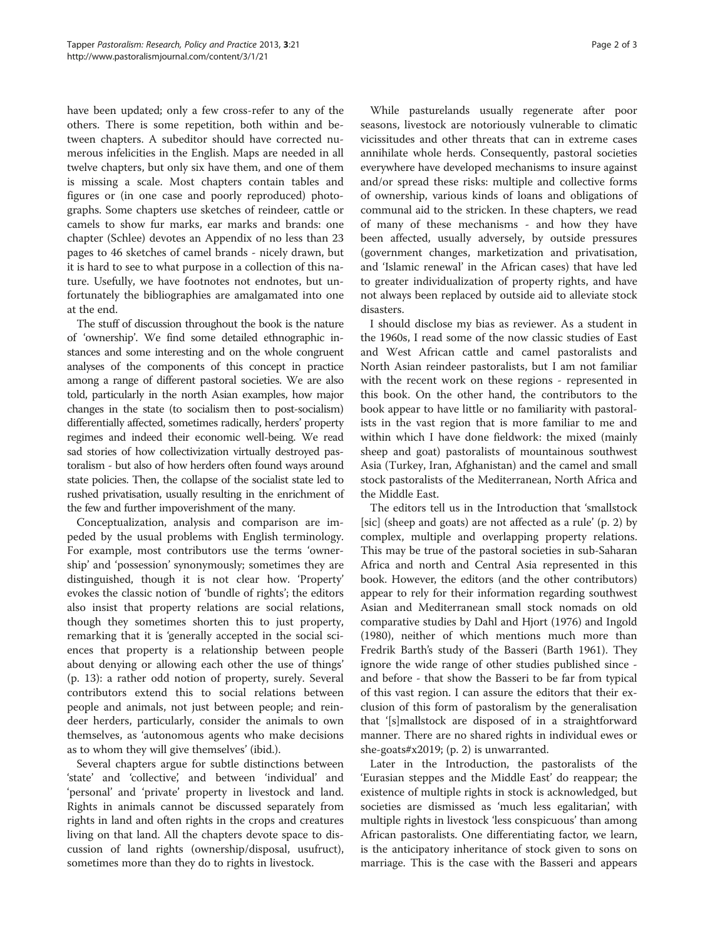have been updated; only a few cross-refer to any of the others. There is some repetition, both within and between chapters. A subeditor should have corrected numerous infelicities in the English. Maps are needed in all twelve chapters, but only six have them, and one of them is missing a scale. Most chapters contain tables and figures or (in one case and poorly reproduced) photographs. Some chapters use sketches of reindeer, cattle or camels to show fur marks, ear marks and brands: one chapter (Schlee) devotes an Appendix of no less than 23 pages to 46 sketches of camel brands - nicely drawn, but it is hard to see to what purpose in a collection of this nature. Usefully, we have footnotes not endnotes, but unfortunately the bibliographies are amalgamated into one at the end.

The stuff of discussion throughout the book is the nature of 'ownership'. We find some detailed ethnographic instances and some interesting and on the whole congruent analyses of the components of this concept in practice among a range of different pastoral societies. We are also told, particularly in the north Asian examples, how major changes in the state (to socialism then to post-socialism) differentially affected, sometimes radically, herders' property regimes and indeed their economic well-being. We read sad stories of how collectivization virtually destroyed pastoralism - but also of how herders often found ways around state policies. Then, the collapse of the socialist state led to rushed privatisation, usually resulting in the enrichment of the few and further impoverishment of the many.

Conceptualization, analysis and comparison are impeded by the usual problems with English terminology. For example, most contributors use the terms 'ownership' and 'possession' synonymously; sometimes they are distinguished, though it is not clear how. 'Property' evokes the classic notion of 'bundle of rights'; the editors also insist that property relations are social relations, though they sometimes shorten this to just property, remarking that it is 'generally accepted in the social sciences that property is a relationship between people about denying or allowing each other the use of things' (p. 13): a rather odd notion of property, surely. Several contributors extend this to social relations between people and animals, not just between people; and reindeer herders, particularly, consider the animals to own themselves, as 'autonomous agents who make decisions as to whom they will give themselves' (ibid.).

Several chapters argue for subtle distinctions between 'state' and 'collective', and between 'individual' and 'personal' and 'private' property in livestock and land. Rights in animals cannot be discussed separately from rights in land and often rights in the crops and creatures living on that land. All the chapters devote space to discussion of land rights (ownership/disposal, usufruct), sometimes more than they do to rights in livestock.

While pasturelands usually regenerate after poor seasons, livestock are notoriously vulnerable to climatic vicissitudes and other threats that can in extreme cases annihilate whole herds. Consequently, pastoral societies everywhere have developed mechanisms to insure against and/or spread these risks: multiple and collective forms of ownership, various kinds of loans and obligations of communal aid to the stricken. In these chapters, we read of many of these mechanisms - and how they have been affected, usually adversely, by outside pressures (government changes, marketization and privatisation, and 'Islamic renewal' in the African cases) that have led to greater individualization of property rights, and have not always been replaced by outside aid to alleviate stock disasters.

I should disclose my bias as reviewer. As a student in the 1960s, I read some of the now classic studies of East and West African cattle and camel pastoralists and North Asian reindeer pastoralists, but I am not familiar with the recent work on these regions - represented in this book. On the other hand, the contributors to the book appear to have little or no familiarity with pastoralists in the vast region that is more familiar to me and within which I have done fieldwork: the mixed (mainly sheep and goat) pastoralists of mountainous southwest Asia (Turkey, Iran, Afghanistan) and the camel and small stock pastoralists of the Mediterranean, North Africa and the Middle East.

The editors tell us in the Introduction that 'smallstock [sic] (sheep and goats) are not affected as a rule' (p. 2) by complex, multiple and overlapping property relations. This may be true of the pastoral societies in sub-Saharan Africa and north and Central Asia represented in this book. However, the editors (and the other contributors) appear to rely for their information regarding southwest Asian and Mediterranean small stock nomads on old comparative studies by Dahl and Hjort ([1976](#page-2-0)) and Ingold ([1980](#page-2-0)), neither of which mentions much more than Fredrik Barth's study of the Basseri (Barth [1961](#page-2-0)). They ignore the wide range of other studies published since and before - that show the Basseri to be far from typical of this vast region. I can assure the editors that their exclusion of this form of pastoralism by the generalisation that '[s]mallstock are disposed of in a straightforward manner. There are no shared rights in individual ewes or she-goats#x2019; (p. 2) is unwarranted.

Later in the Introduction, the pastoralists of the 'Eurasian steppes and the Middle East' do reappear; the existence of multiple rights in stock is acknowledged, but societies are dismissed as 'much less egalitarian', with multiple rights in livestock 'less conspicuous' than among African pastoralists. One differentiating factor, we learn, is the anticipatory inheritance of stock given to sons on marriage. This is the case with the Basseri and appears